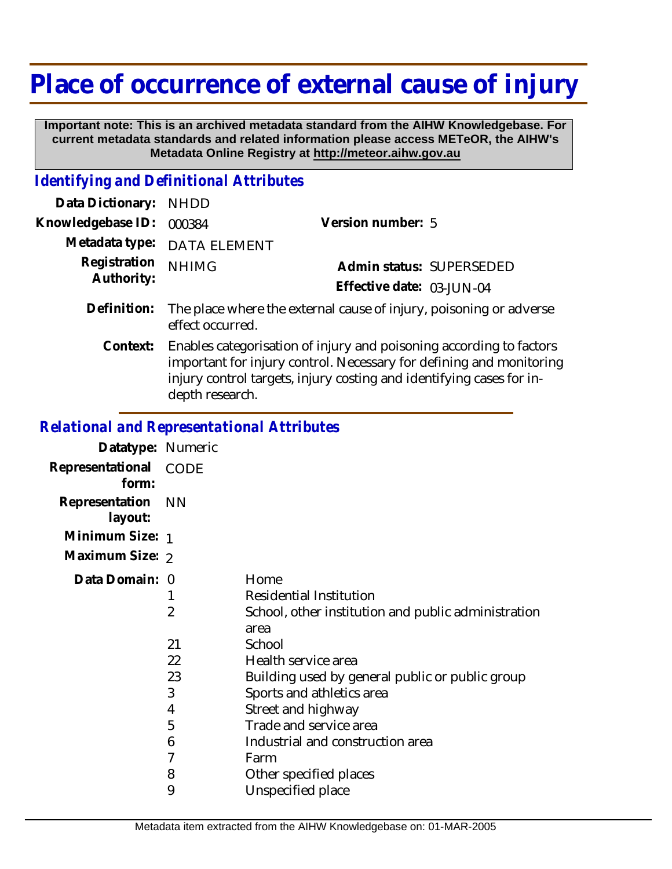## **Place of occurrence of external cause of injury**

 **Important note: This is an archived metadata standard from the AIHW Knowledgebase. For current metadata standards and related information please access METeOR, the AIHW's Metadata Online Registry at http://meteor.aihw.gov.au**

## *Identifying and Definitional Attributes*

| Data Dictionary:           | <b>NHDD</b>                                                                                                                                                                                                                           |                           |
|----------------------------|---------------------------------------------------------------------------------------------------------------------------------------------------------------------------------------------------------------------------------------|---------------------------|
| Knowledgebase ID:          | 000384                                                                                                                                                                                                                                | Version number: 5         |
| Metadata type:             | <b>DATA ELEMENT</b>                                                                                                                                                                                                                   |                           |
| Registration<br>Authority: | <b>NHIMG</b>                                                                                                                                                                                                                          | Admin status: SUPERSEDED  |
|                            |                                                                                                                                                                                                                                       | Effective date: 03-JUN-04 |
| Definition:                | The place where the external cause of injury, poisoning or adverse<br>effect occurred.                                                                                                                                                |                           |
| Context:                   | Enables categorisation of injury and poisoning according to factors<br>important for injury control. Necessary for defining and monitoring<br>injury control targets, injury costing and identifying cases for in-<br>depth research. |                           |
|                            |                                                                                                                                                                                                                                       |                           |

## *Relational and Representational Attributes*

| Datatype: Numeric         |                                         |                                                                                                                                                                                                                                                                                                     |
|---------------------------|-----------------------------------------|-----------------------------------------------------------------------------------------------------------------------------------------------------------------------------------------------------------------------------------------------------------------------------------------------------|
| Representational<br>form: | CODE                                    |                                                                                                                                                                                                                                                                                                     |
| Representation<br>layout: | <b>NN</b>                               |                                                                                                                                                                                                                                                                                                     |
| Minimum Size: 1           |                                         |                                                                                                                                                                                                                                                                                                     |
| Maximum Size: 2           |                                         |                                                                                                                                                                                                                                                                                                     |
| Data Domain: 0            | 2<br>21<br>22<br>23<br>3<br>4<br>5<br>6 | Home<br>Residential Institution<br>School, other institution and public administration<br>area<br>School<br>Health service area<br>Building used by general public or public group<br>Sports and athletics area<br>Street and highway<br>Trade and service area<br>Industrial and construction area |
|                           | 7<br>8                                  | Farm<br>Other specified places                                                                                                                                                                                                                                                                      |
|                           | 9                                       | Unspecified place                                                                                                                                                                                                                                                                                   |